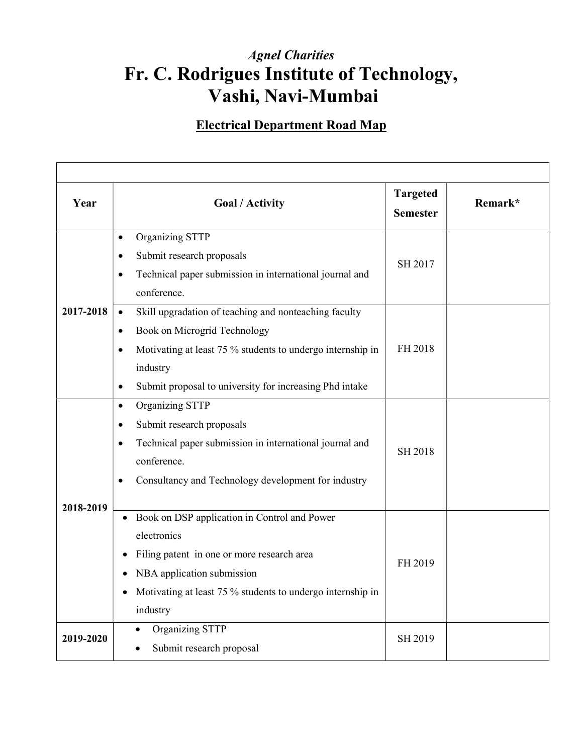## Agnel Charities Fr. C. Rodrigues Institute of Technology, Vashi, Navi-Mumbai

## Electrical Department Road Map

| Year      | <b>Goal / Activity</b>                                                              | <b>Targeted</b><br><b>Semester</b> | Remark* |
|-----------|-------------------------------------------------------------------------------------|------------------------------------|---------|
|           | Organizing STTP<br>$\bullet$                                                        |                                    |         |
| 2017-2018 | Submit research proposals<br>$\bullet$                                              | SH 2017                            |         |
|           | Technical paper submission in international journal and<br>$\bullet$<br>conference. |                                    |         |
|           | Skill upgradation of teaching and nonteaching faculty<br>$\bullet$                  |                                    |         |
|           | Book on Microgrid Technology<br>$\bullet$                                           |                                    |         |
|           | Motivating at least 75 % students to undergo internship in<br>$\bullet$             | FH 2018                            |         |
|           | industry                                                                            |                                    |         |
|           | Submit proposal to university for increasing Phd intake<br>$\bullet$                |                                    |         |
|           | Organizing STTP<br>$\bullet$                                                        |                                    |         |
|           | Submit research proposals<br>$\bullet$                                              |                                    |         |
|           | Technical paper submission in international journal and<br>$\bullet$                | <b>SH 2018</b>                     |         |
|           | conference.                                                                         |                                    |         |
|           | Consultancy and Technology development for industry<br>$\bullet$                    |                                    |         |
| 2018-2019 |                                                                                     |                                    |         |
|           | Book on DSP application in Control and Power<br>$\bullet$                           | FH 2019                            |         |
|           | electronics                                                                         |                                    |         |
|           | Filing patent in one or more research area<br>$\bullet$                             |                                    |         |
|           | NBA application submission                                                          |                                    |         |
|           | Motivating at least 75 % students to undergo internship in<br>$\bullet$             |                                    |         |
|           | industry                                                                            |                                    |         |
|           | Organizing STTP<br>$\bullet$                                                        | SH 2019                            |         |
| 2019-2020 |                                                                                     |                                    |         |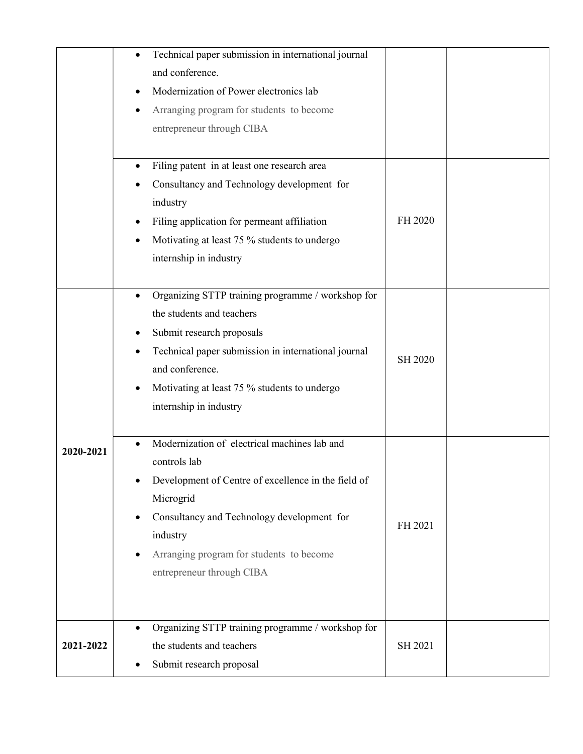|           | Technical paper submission in international journal<br>and conference.<br>Modernization of Power electronics lab<br>٠<br>Arranging program for students to become<br>entrepreneur through CIBA                                                                                                     |         |  |
|-----------|----------------------------------------------------------------------------------------------------------------------------------------------------------------------------------------------------------------------------------------------------------------------------------------------------|---------|--|
|           | Filing patent in at least one research area<br>Consultancy and Technology development for<br>industry<br>Filing application for permeant affiliation<br>Motivating at least 75 % students to undergo<br>internship in industry                                                                     | FH 2020 |  |
|           | Organizing STTP training programme / workshop for<br>$\bullet$<br>the students and teachers<br>Submit research proposals<br>Technical paper submission in international journal<br>and conference.<br>Motivating at least 75 % students to undergo<br>internship in industry                       | SH 2020 |  |
| 2020-2021 | Modernization of electrical machines lab and<br>$\bullet$<br>controls lab<br>Development of Centre of excellence in the field of<br>Microgrid<br>Consultancy and Technology development for<br>$\bullet$<br>industry<br>Arranging program for students to become<br>٠<br>entrepreneur through CIBA | FH 2021 |  |
| 2021-2022 | Organizing STTP training programme / workshop for<br>the students and teachers<br>Submit research proposal                                                                                                                                                                                         | SH 2021 |  |